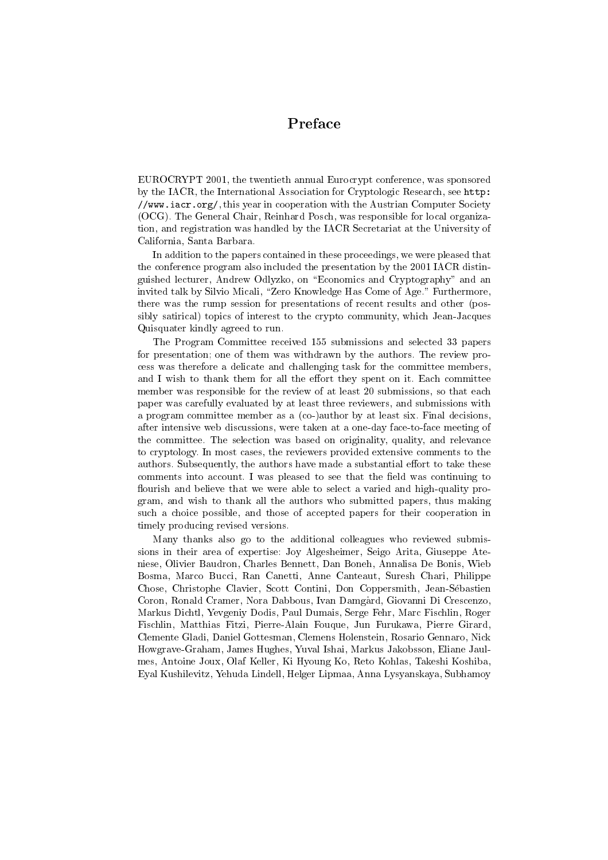#### Preface

EUROCRYPT 2001, the twentieth annual Eurocrypt conference, was sponsored by the IACR, the International Association for Cryptologic Research, see http: //www.iacr.org/, this year in cooperation with the Austrian Computer Society (OCG). The General Chair, Reinhard Posch, was responsible for local organization, and registration was handled by the IACR Secretariat at the University of California, Santa Barbara.

In addition to the papers contained in these proceedings, we were pleased that the conference program also included the presentation by the 2001 IACR distinguished lecturer, Andrew Odlyzko, on \Economics and Cryptography" and an invited talk by Silvio Micali, "Zero Knowledge Has Come of Age." Furthermore, there was the rump session for presentations of recent results and other (possibly satirical) topics of interest to the crypto community, which Jean-Jacques Quisquater kindly agreed to run.

The Program Committee received 155 submissions and selected 33 papers for presentation; one of them was withdrawn by the authors. The review process was therefore a delicate and challenging task for the committee members, and I wish to thank them for all the effort they spent on it. Each committee member was responsible for the review of at least 20 submissions, so that each paper was carefully evaluated by at least three reviewers, and submissions with a program committee member as a (co-)author by at least six. Final decisions, after intensive web discussions, were taken at a one-day face-to-face meeting of the committee. The selection was based on originality, quality, and relevance to cryptology. In most cases, the reviewers provided extensive comments to the authors. Subsequently, the authors have made a substantial effort to take these comments into account. I was pleased to see that the field was continuing to flourish and believe that we were able to select a varied and high-quality program, and wish to thank all the authors who submitted papers, thus making such a choice possible, and those of accepted papers for their cooperation in timely producing revised versions.

Many thanks also go to the additional colleagues who reviewed submissions in their area of expertise: Joy Algesheimer, Seigo Arita, Giuseppe Ateniese, Olivier Baudron, Charles Bennett, Dan Boneh, Annalisa De Bonis, Wieb Bosma, Marco Bucci, Ran Canetti, Anne Canteaut, Suresh Chari, Philippe Chose, Christophe Clavier, Scott Contini, Don Coppersmith, Jean-Sebastien Coron, Ronald Cramer, Nora Dabbous, Ivan Damgard, Giovanni Di Crescenzo, Markus Dichtl, Yevgeniy Dodis, Paul Dumais, Serge Fehr, Marc Fischlin, Roger Fischlin, Matthias Fitzi, Pierre-Alain Fouque, Jun Furukawa, Pierre Girard, Clemente Gladi, Daniel Gottesman, Clemens Holenstein, Rosario Gennaro, Nick Howgrave-Graham, James Hughes, Yuval Ishai, Markus Jakobsson, Eliane Jaulmes, Antoine Joux, Olaf Keller, Ki Hyoung Ko, Reto Kohlas, Takeshi Koshiba, Eyal Kushilevitz, Yehuda Lindell, Helger Lipmaa, Anna Lysyanskaya, Subhamoy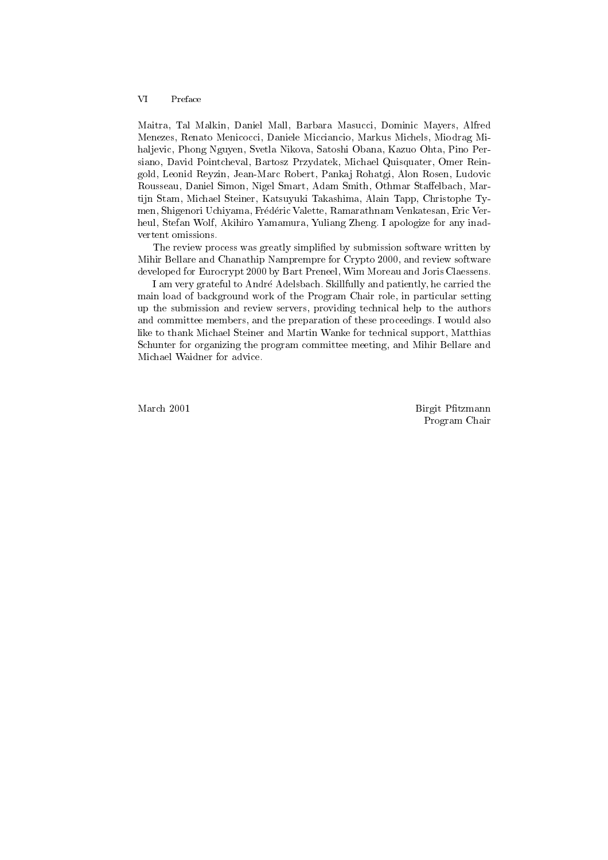#### **VI** Preface

Maitra, Tal Malkin, Daniel Mall, Barbara Masucci, Dominic Mayers, Alfred Menezes, Renato Menicocci, Daniele Micciancio, Markus Michels, Miodrag Mihaljevic, Phong Nguyen, Svetla Nikova, Satoshi Obana, Kazuo Ohta, Pino Persiano, David Pointcheval, Bartosz Przydatek, Michael Quisquater, Omer Reingold, Leonid Reyzin, Jean-Marc Robert, Panka j Rohatgi, Alon Rosen, Ludovic Rousseau, Daniel Simon, Nigel Smart, Adam Smith, Othmar Staffelbach, Martijn Stam, Michael Steiner, Katsuyuki Takashima, Alain Tapp, Christophe Tymen, Shigenori Uchiyama, Frederic Valette, Ramarathnam Venkatesan, Eric Verheul, Stefan Wolf, Akihiro Yamamura, Yuliang Zheng. I apologize for any inad vertent omissions.

The review process was greatly simplified by submission software written by Mihir Bellare and Chanathip Namprempre for Crypto 2000, and review software developed for Eurocrypt 2000 by Bart Preneel, Wim Moreau and Joris Claessens.

I am very grateful to Andre Adelsbach. Skillfully and patiently, he carried the main load of background work of the Program Chair role, in particular setting up the submission and review servers, providing technical help to the authors and committee members, and the preparation of these proceedings. I would also like to thank Michael Steiner and Martin Wanke for technical support, Matthias Schunter for organizing the program committee meeting, and Mihir Bellare and Michael Waidner for advice.

March 2001 Birgit Ptzmann Program Chair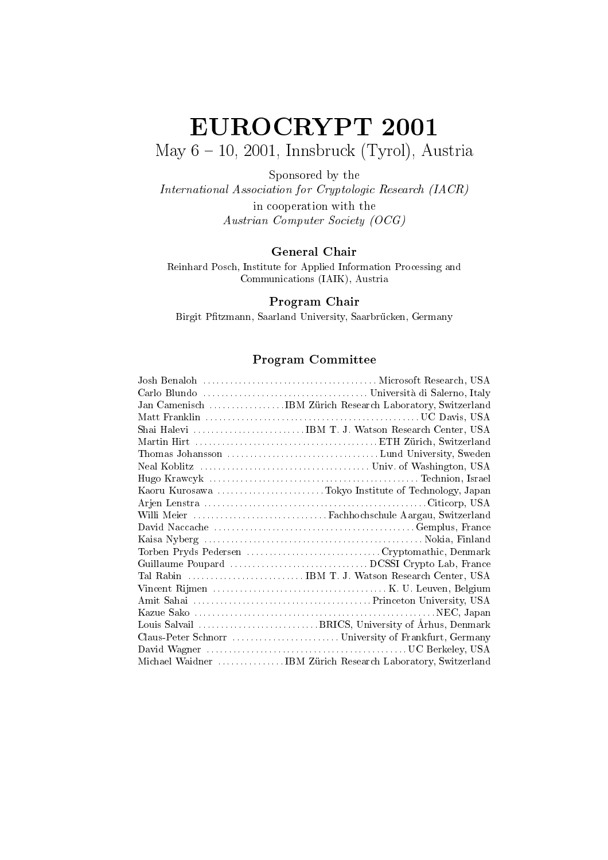# EUROCRYPT <sup>2001</sup> May  $6 - 10$ , 2001, Innsbruck (Tyrol), Austria

Sponsored by the

International Association for Cryptologic Research (IACR) in cooperation with the Austrian Computer Society (OCG)

#### General Chair

Reinhard Posch, Institute for Applied Information Processing and Communications (IAIK), Austria

#### Program Chair

Birgit Pfitzmann, Saarland University, Saarbrücken, Germany

#### Program Committee

| Jan Camenisch IBM Zürich Research Laboratory, Switzerland    |  |
|--------------------------------------------------------------|--|
|                                                              |  |
|                                                              |  |
|                                                              |  |
|                                                              |  |
|                                                              |  |
|                                                              |  |
|                                                              |  |
|                                                              |  |
|                                                              |  |
|                                                              |  |
|                                                              |  |
|                                                              |  |
|                                                              |  |
|                                                              |  |
|                                                              |  |
|                                                              |  |
|                                                              |  |
|                                                              |  |
|                                                              |  |
|                                                              |  |
| Michael Waidner  IBM Zürich Research Laboratory, Switzerland |  |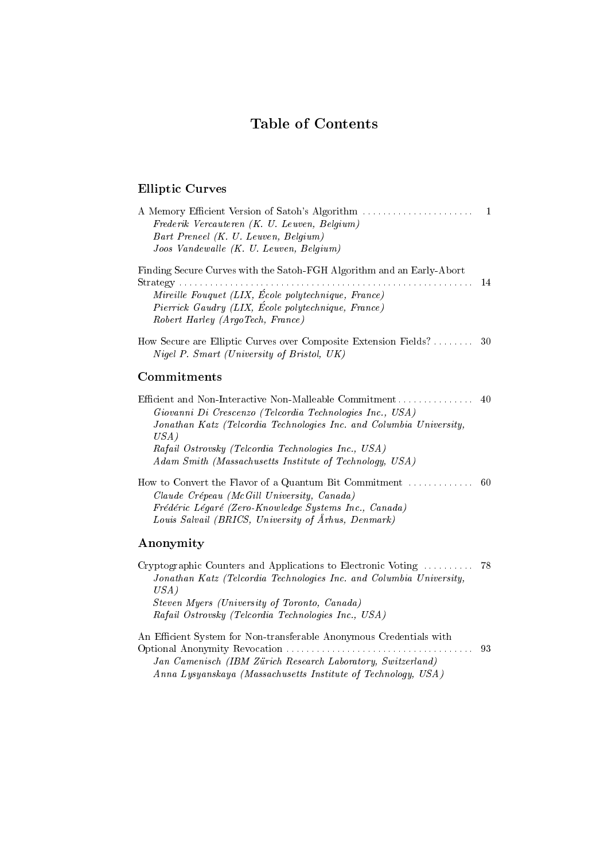#### Table of Contents

#### Elliptic Curves

| Frederik Vercauteren (K. U. Leuven, Belgium)<br>Bart Preneel (K. U. Leuven, Belgium)<br>Joos Vandewalle (K. U. Leuven, Belgium)                                                                                                                                                                                     |    |
|---------------------------------------------------------------------------------------------------------------------------------------------------------------------------------------------------------------------------------------------------------------------------------------------------------------------|----|
| Finding Secure Curves with the Satoh-FGH Algorithm and an Early-Abort<br>Mireille Fouquet (LIX, École polytechnique, France)<br>Pierrick Gaudry (LIX, École polytechnique, France)<br>Robert Harley (ArgoTech, France)                                                                                              |    |
| How Secure are Elliptic Curves over Composite Extension Fields? 30<br>Nigel P. Smart (University of Bristol, UK)                                                                                                                                                                                                    |    |
| Commitments                                                                                                                                                                                                                                                                                                         |    |
| Efficient and Non-Interactive Non-Malleable Commitment<br>Giovanni Di Crescenzo (Telcordia Technologies Inc., USA)<br>Jonathan Katz (Telcordia Technologies Inc. and Columbia University,<br>USA)<br>Rafail Ostrovsky (Telcordia Technologies Inc., USA)<br>Adam Smith (Massachusetts Institute of Technology, USA) | 40 |
| Claude Crépeau (McGill University, Canada)<br>Frédéric Légaré (Zero-Knowledge Systems Inc., Canada)<br>Louis Salvail (BRICS, University of Arhus, Denmark)                                                                                                                                                          |    |
| Anonymity                                                                                                                                                                                                                                                                                                           |    |
| Cryptographic Counters and Applications to Electronic Voting<br>Jonathan Katz (Telcordia Technologies Inc. and Columbia University,<br>USA)<br>Steven Muers (University of Toronto, Canada)                                                                                                                         | 78 |

Steven Myers (University of Toronto, Canada) Rafail Ostrovsky (Telcordia Technologies Inc., USA)

An Efficient System for Non-transferable Anonymous Credentials with Optional Anonymity Revocation ::::::::::::::::::::::::::::::::::::: 93 Jan Camenisch (IBM Zurich Research Laboratory, Switzerland) Anna Lysyanskaya (Massachusetts Institute of Technology, USA)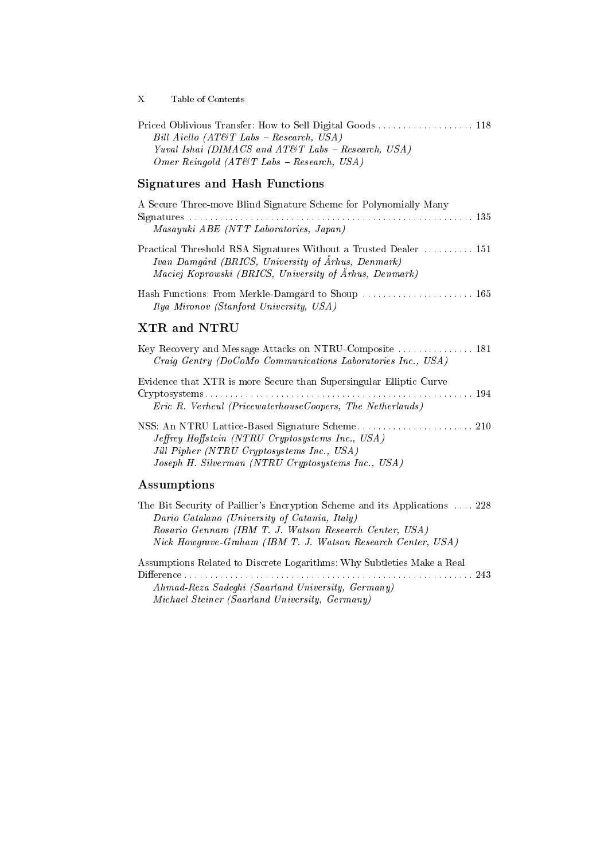X Table of Contents

| Bill Aiello $(AT\&T\&Labs - Research, USA)$          |  |
|------------------------------------------------------|--|
| Yuval Ishai (DIMACS and AT&T Labs - Research, USA)   |  |
| <i>Omer Reingold (AT&amp;T Labs – Research, USA)</i> |  |

#### Signatures and Hash Functions

| A Secure Three-move Blind Signature Scheme for Polynomially Many                                                                                                                 |  |
|----------------------------------------------------------------------------------------------------------------------------------------------------------------------------------|--|
|                                                                                                                                                                                  |  |
| Masayuki ABE (NTT Laboratories, Japan)                                                                                                                                           |  |
| Practical Threshold RSA Signatures Without a Trusted Dealer  151<br>Ivan Damgård (BRICS, University of Århus, Denmark)<br>Maciej Koprowski (BRICS, University of Århus, Denmark) |  |
| Ilya Mironov (Stanford University, USA)                                                                                                                                          |  |

#### XTR and NTRU

| Key Recovery and Message Attacks on NTRU-Composite  181            |  |
|--------------------------------------------------------------------|--|
| Craig Gentry (DoCoMo Communications Laboratories Inc., USA)        |  |
| Evidence that XTR is more Secure than Supersingular Elliptic Curve |  |
|                                                                    |  |
| Eric R. Verheul (PricewaterhouseCoopers, The Netherlands)          |  |
|                                                                    |  |
| Jeffrey Hoffstein (NTRU Cryptosystems Inc., USA)                   |  |
| Jill Pipher (NTRU Cryptosystems Inc., USA)                         |  |
| Joseph H. Silverman (NTRU Cryptosystems Inc., USA)                 |  |

#### Assumptions

| The Bit Security of Paillier's Encryption Scheme and its Applications  228 |  |
|----------------------------------------------------------------------------|--|
| Dario Catalano (University of Catania, Italy)                              |  |
| Rosario Gennaro (IBM T. J. Watson Research Center, USA)                    |  |
| Nick Howarave-Graham (IBM T. J. Watson Research Center, USA)               |  |
|                                                                            |  |

Assumptions Related to Discrete Logarithms: Why Subtleties Make a Real Dierence ::::::::::::::::::::::::::::::::::::::::::::::::::::::::: 243 Ahmad-Reza Sadeghi (Saarland University, Germany)

Michael Steiner (Saarland University, Germany)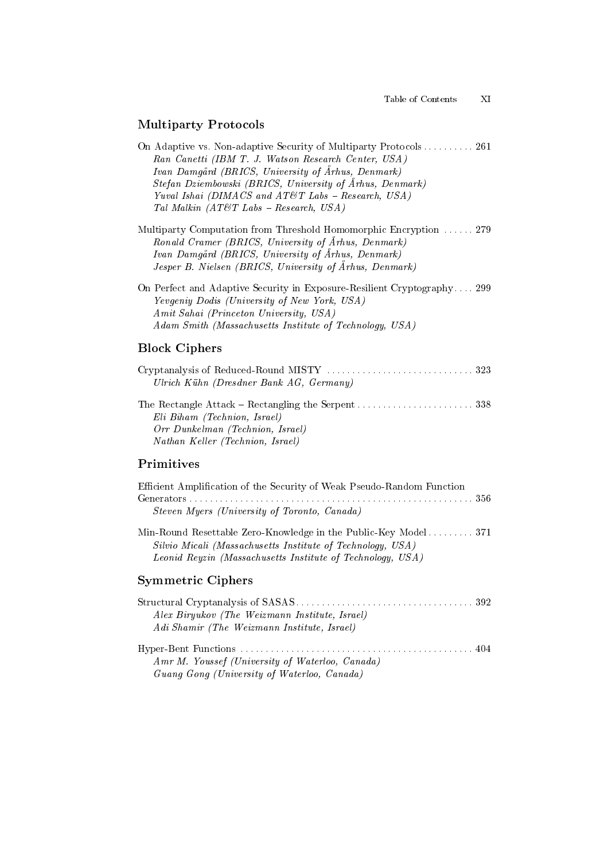#### Multiparty Protocols

On Adaptive vs. Non-adaptive Security of Multiparty Protocols . . . . . . . . . 261 Ran Canetti (IBM T. J. Watson Research Center, USA) Ivan Damgard (BRICS, University of Arhus, Denmark) Stefan Dziembowski (BRICS, University of Arhus, Denmark) Yuval Ishai (DIMACS and AT&T Labs  $-$  Research, USA) Tal Malkin  $(AT\mathcal{O}T$  Labs - Research, USA)

Multiparty Computation from Threshold Homomorphic Encryption ...... 279 Ronald Cramer (BRICS, University of Arhus, Denmark) Ivan Damgard (BRICS, University of Arhus, Denmark) Jesper B. Nielsen (BRICS, University of Arhus, Denmark)

On Perfect and Adaptive Security in Exposure-Resilient Cryptography.... 299 Yevgeniy Dodis (University of New York, USA) Amit Sahai (Princeton University, USA) Adam Smith (Massachusetts Institute of Technology, USA)

#### Block Ciphers

| Ulrich Kühn (Dresdner Bank $AG$ , Germany) |  |
|--------------------------------------------|--|
|                                            |  |
| Eli Biham (Technion, Israel)               |  |
| Orr Dunkelman (Technion, Israel)           |  |
| Nathan Keller (Technion, Israel)           |  |

#### Primitives

| Efficient Amplification of the Security of Weak Pseudo-Random Function<br>Steven Myers (University of Toronto, Canada)                                                                      |  |
|---------------------------------------------------------------------------------------------------------------------------------------------------------------------------------------------|--|
| Min-Round Resettable Zero-Knowledge in the Public-Key Model 371<br>Silvio Micali (Massachusetts Institute of Technology, USA)<br>Leonid Reyzin (Massachusetts Institute of Technology, USA) |  |

#### Symmetric Ciphers

| Alex Biryukov (The Weizmann Institute, Israel)  |  |
|-------------------------------------------------|--|
| Adi Shamir (The Weizmann Institute, Israel)     |  |
|                                                 |  |
| Amr M. Youssef (University of Waterloo, Canada) |  |
| Guang Gong (University of Waterloo, Canada)     |  |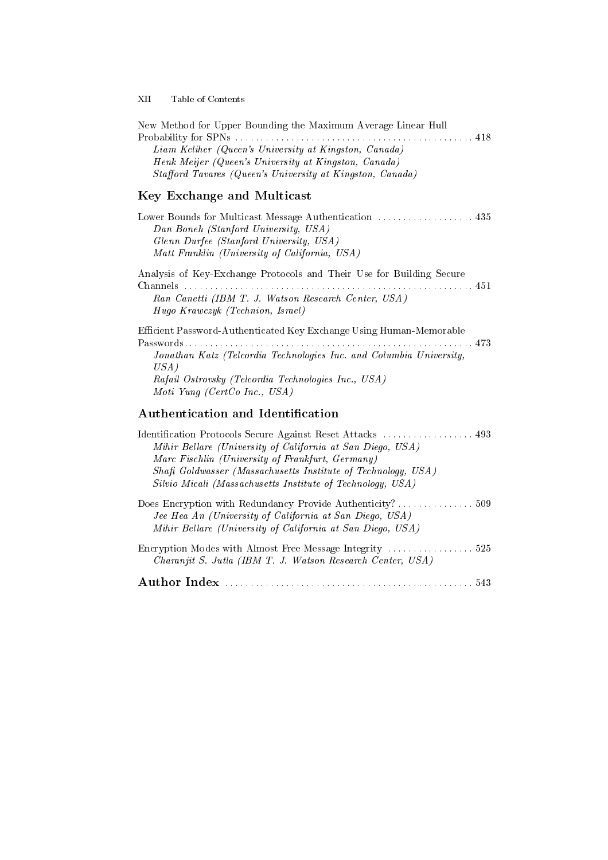XII Table of Contents

| New Method for Upper Bounding the Maximum Average Linear Hull<br>Liam Keliher (Queen's University at Kingston, Canada)<br>Henk Meijer (Queen's University at Kingston, Canada)<br>Stafford Tavares (Queen's University at Kingston, Canada)                                                                 |
|-------------------------------------------------------------------------------------------------------------------------------------------------------------------------------------------------------------------------------------------------------------------------------------------------------------|
| Key Exchange and Multicast                                                                                                                                                                                                                                                                                  |
| Lower Bounds for Multicast Message Authentication  435<br>Dan Boneh (Stanford University, USA)<br>Glenn Durfee (Stanford University, USA)<br>Matt Franklin (University of California, USA)                                                                                                                  |
| Analysis of Key-Exchange Protocols and Their Use for Building Secure                                                                                                                                                                                                                                        |
| Channels<br>Ran Canetti (IBM T. J. Watson Research Center, USA)<br>Hugo Krawczyk (Technion, Israel)                                                                                                                                                                                                         |
| Efficient Password-Authenticated Key Exchange Using Human-Memorable<br>Jonathan Katz (Telcordia Technologies Inc. and Columbia University,<br>USA)<br>Rafail Ostrovsky (Telcordia Technologies Inc., USA)<br>Moti Yung (CertCo Inc., USA)                                                                   |
| <b>Authentication and Identification</b>                                                                                                                                                                                                                                                                    |
| Identification Protocols Secure Against Reset Attacks  493<br>Mihir Bellare (University of California at San Diego, USA)<br>Marc Fischlin (University of Frankfurt, Germany)<br>Shafi Goldwasser (Massachusetts Institute of Technology, USA)<br>Silvio Micali (Massachusetts Institute of Technology, USA) |
| Does Encryption with Redundancy Provide Authenticity? 509<br>Jee Hea An (University of California at San Diego, USA)<br>Mihir Bellare (University of California at San Diego, USA)                                                                                                                          |
| Charanjit S. Jutla (IBM T. J. Watson Research Center, USA)                                                                                                                                                                                                                                                  |
|                                                                                                                                                                                                                                                                                                             |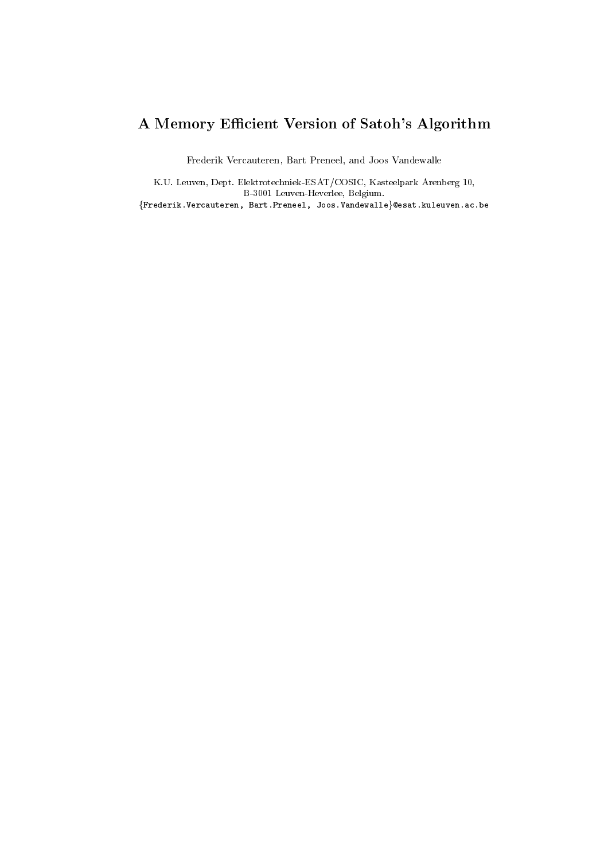# A Memory Efficient Version of Satoh's Algorithm

Frederik Vercauteren, Bart Preneel, and Joos Vandewalle

K.U. Leuven, Dept. Elektrotechniek-ESAT/COSIC, Kasteelpark Arenberg 10, B-3001 Leuven-Heverlee, Belgium.  ${Frederik.Vercauteren, Bart.Preneel, Joos.Vandewalle} @esat.kuleuven.ac.be$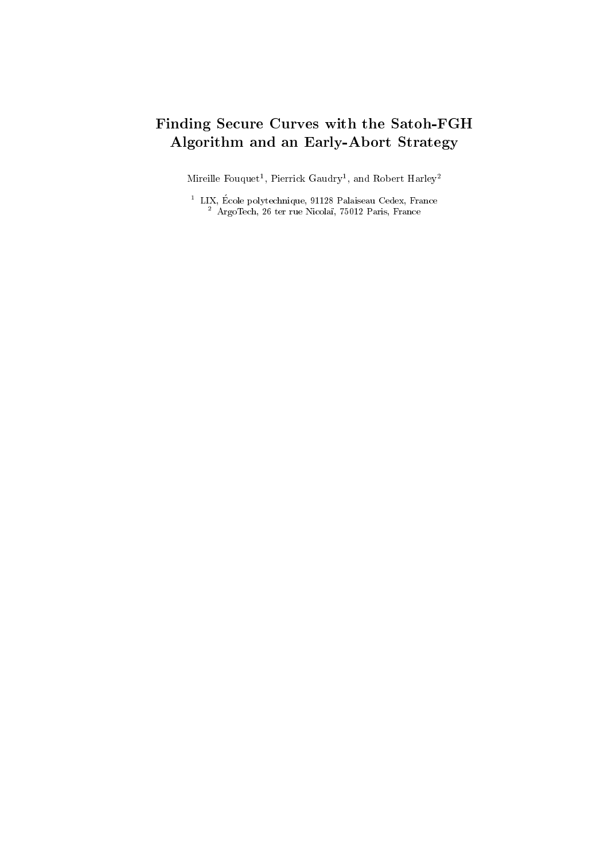### Finding Secure Curves with the Satoh-FGH Algorithm and an Early-Abort Strategy

Mirellie Fouquet , Pierrick Gaudry , and Robert Harley-

LIX, Ecole polytecnique, 91128 Palaiseau Cedex, France<br><sup>2</sup> ArgoTech, 26 ter rue Nicolaï, 75012 Paris, France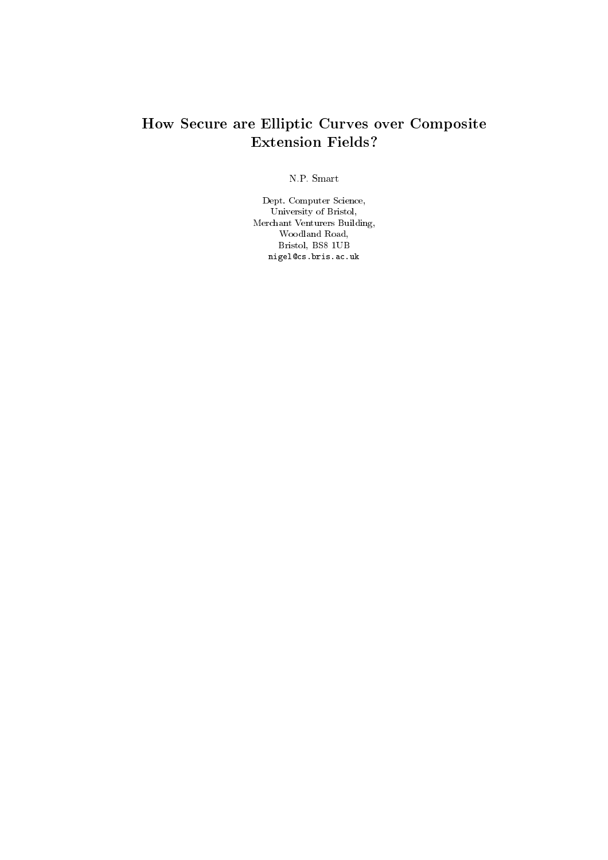#### How Secure are Elliptic Curves over Composite Extension Fields?

N.P. Smart

Dept. Computer Science, University of Bristol, Merchant Venturers Building, Woodland Road, Bristol, BS8 1UB nigel@cs.bris.ac.uk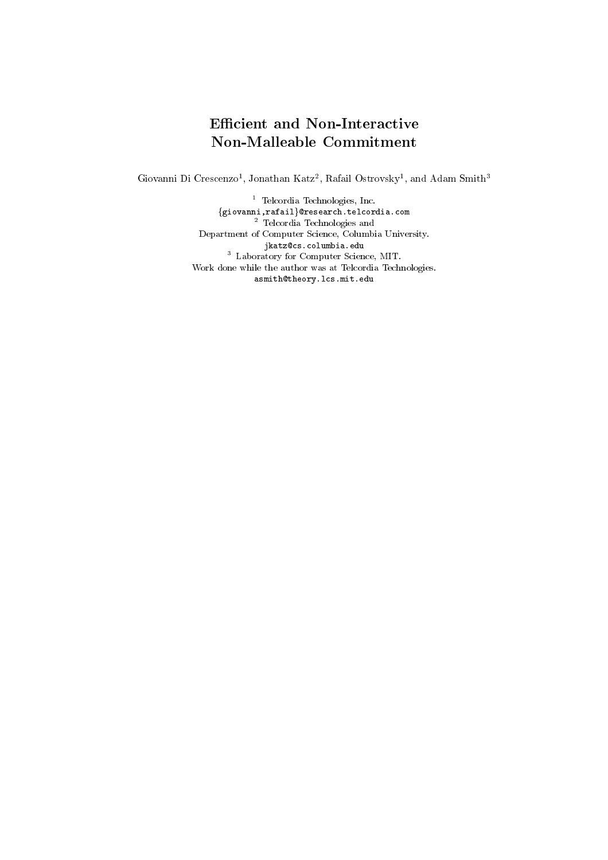#### Efficient and Non-Interactive Non-Malleable Commitment

Giovanni Di Crescenzo<sup>-</sup>, Jonathan Katz<sup>-</sup>, Kafali Ostrovsky<sup>-</sup>, and Adam Smith-

Felcordia Iechnologies, Inc.<br>{giovanni,rafail}@research.tel.cordia.com<br><sup>2</sup> Telcordia Technologies and Department of Computer Science, Columbia University. jkatz@cs.columbia.edu<sup>3</sup> Laboratory for Computer Science, MIT. Work done while the author was at Telcordia Technologies. asmith@theory.lcs.mit.edu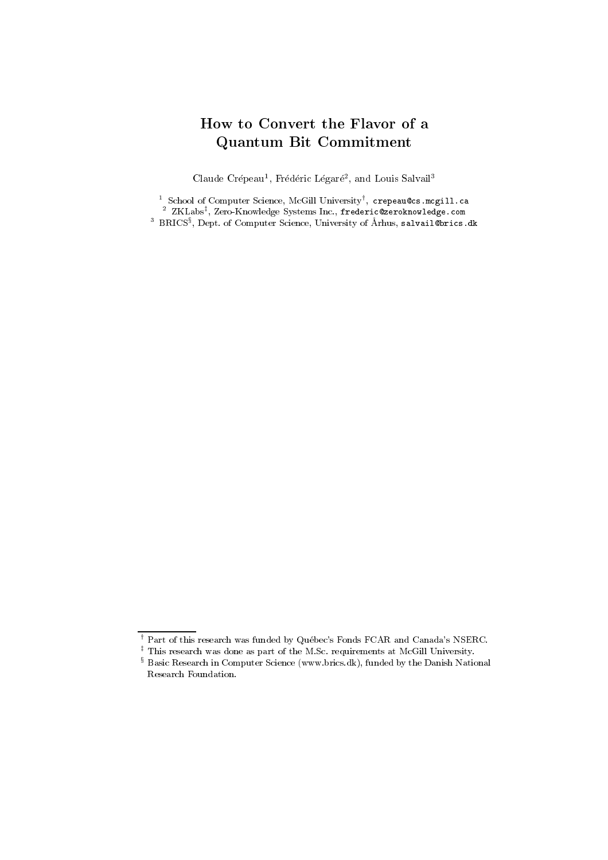#### How to Convert the Flavor of a Quantum Bit Commitment

Claude Crepeau<sup>-</sup>, Frederic Legare<sup>-</sup>, and Louis Salvail<sup>-</sup>

 $\frac{2}{3}$  School of Computer Science, McGill University', crepeau@cs.mcgill.ca<br> $\frac{2}{3}$  ZKLabs<sup>‡</sup>, Zero-Knowledge Systems Inc., frederic@zeroknowledge.com<br> $\frac{3}{3}$  BRICS<sup>§</sup>, Dept. of Computer Science, University of Arhu

 $^\intercal$  Part of this research was funded by Québec's Fonds FCAR and Canada's NSERC.

<sup>z</sup> This research was done as part of the M.Sc. requirements at McGill University.

 $^{\circ}$  Basic Research in Computer Science (www.brics.dk), funded by the Danish National Research Foundation.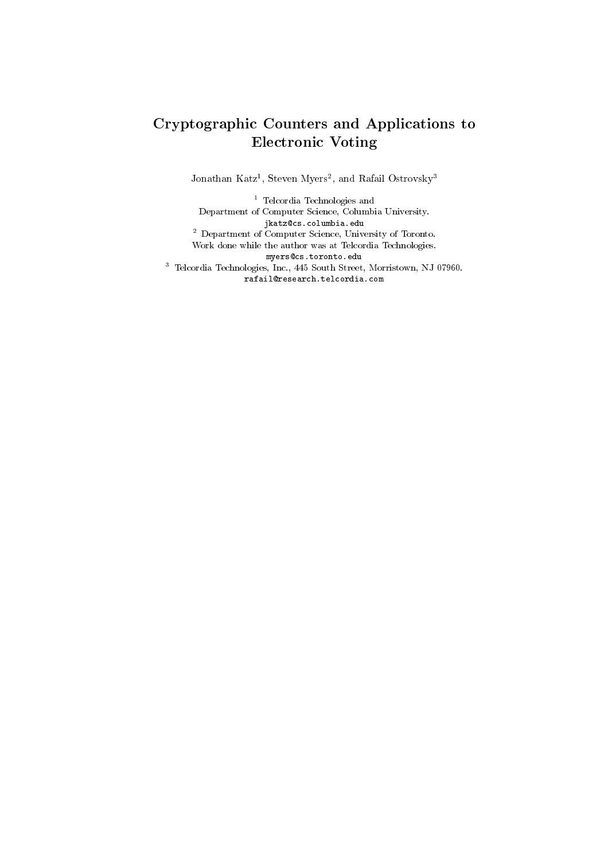#### Cryptographic Counters and Applications to Electronic Voting

Jonathan Katz<sup>-</sup>, Steven Myers-, and Kafail Ostrovsky<sup>-</sup>

<sup>1</sup> Telcordia Technologies and Department of Computer Science, Columbia University. jkatz@cs.columbia.edu<sup>2</sup> Department of Computer Science, University of Toronto. Work done while the author was at Telcordia Technologies. myers@cs.toronto.edu <sup>3</sup> Telcordia Technologies, Inc., 445 South Street, Morristown, NJ 07960. rafail@research.telcordia.com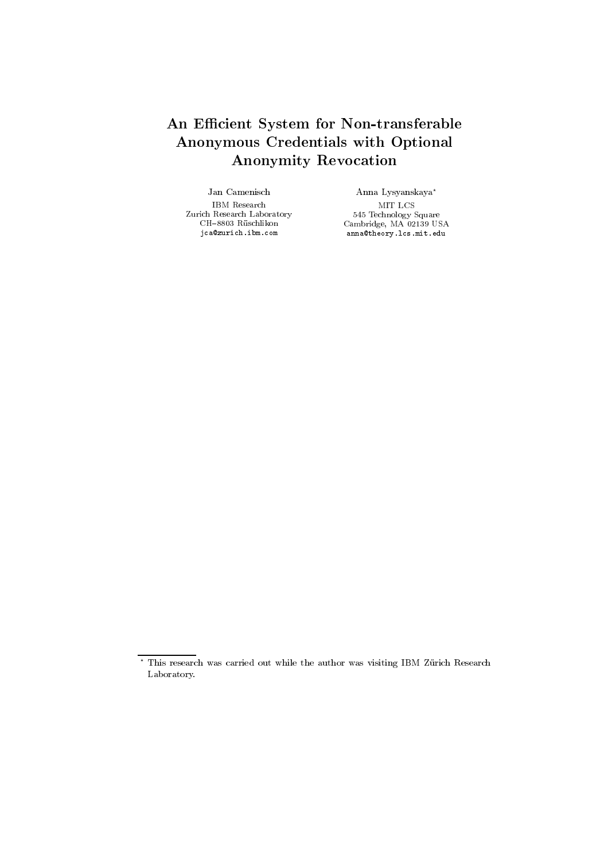#### An Efficient System for Non-transferable Anonymous Credentials with Optional Anonymity Revocation

Jan Camenisch IBM Research Zurich Research Laboratory  $\rm CH\text{-}8803$ Rüschlikon jca@zurich.ibm.com

Anna Lysyanskaya ?  $545$  Technology Square Square Square Square Square Square Square Square Square Square Square Square Square Square Square Square Square Square Square Square Square Square Square Square Square Square Square Square Square S Cambridge, MA 02139 USA anna@theory.lcs.mit.edu

<sup>?</sup> This research was carried out while the author was visiting IBM Zurich Research Laboratory.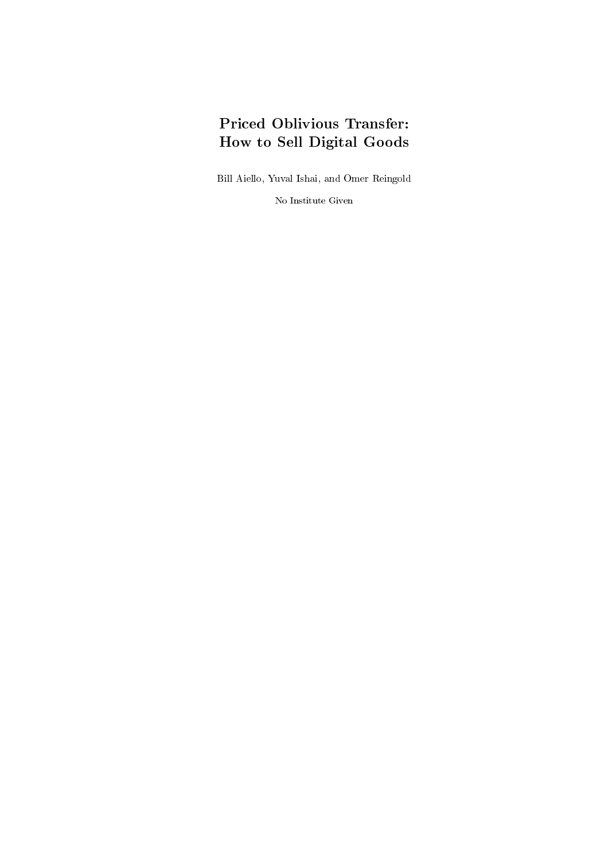## Priced Oblivious Transfer: How to Sell Digital Goods

Bill Aiello, Yuval Ishai, and Omer Reingold

No Institute Given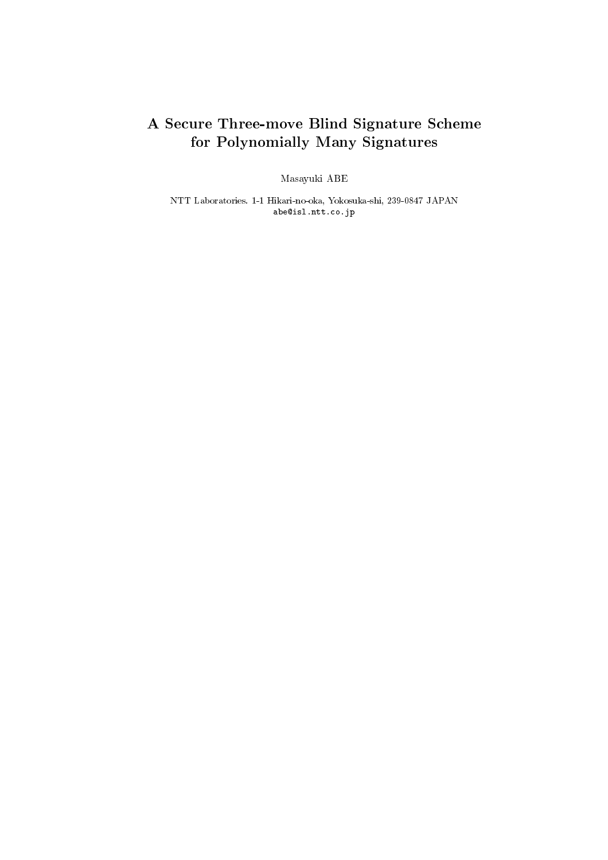## A Secure Three-move Blind Signature Scheme for Polynomially Many Signatures

Masayuki ABE

NTT Laboratories. 1-1 Hikari-no-oka, Yokosuka-shi, 239-0847 JAPAN abe@isl.ntt.co.jp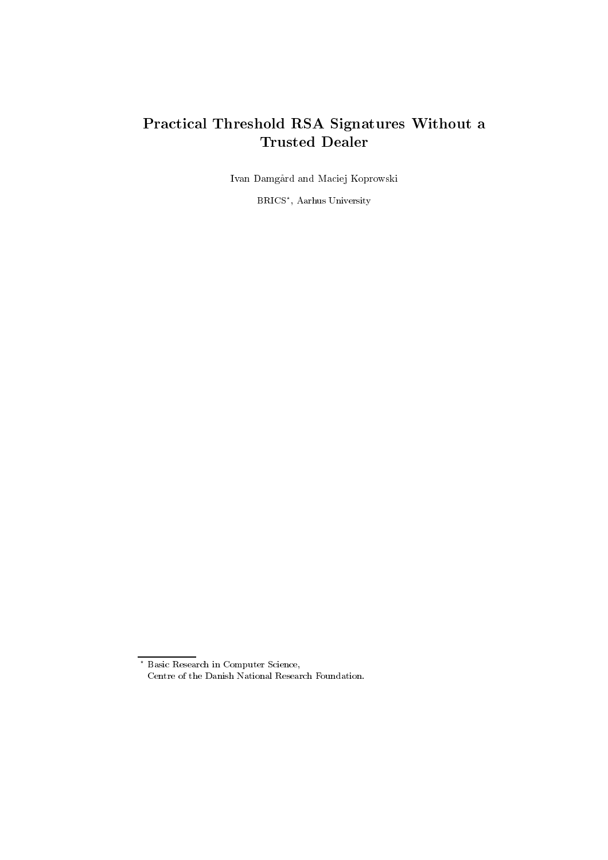#### Practical Threshold RSA Signatures Without a Trusted Dealer

Ivan Damgard and Maciej Koprowski

BRICS? , Aarhus University

<sup>?</sup> Basic Research in Computer Science, Centre of the Danish National Research Foundation.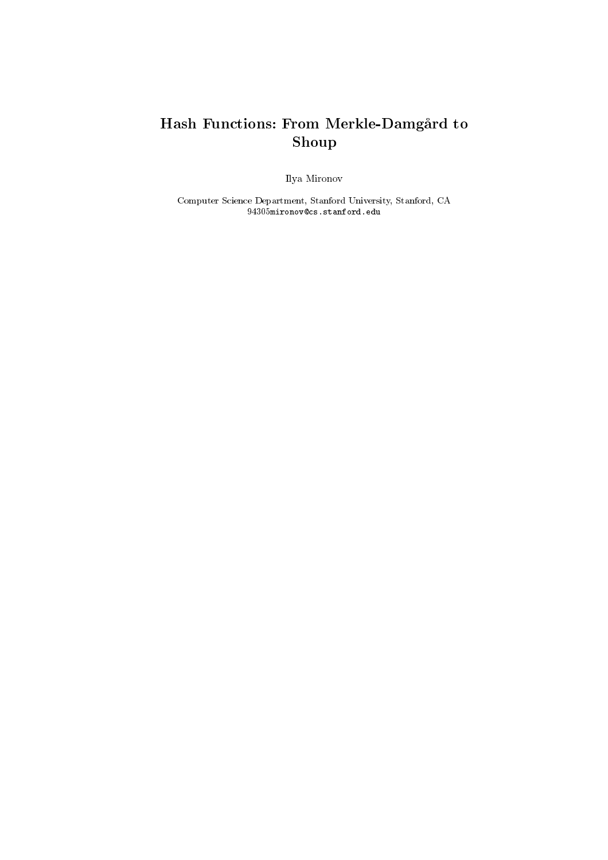### Hash Functions: From Merkle-Damgård to Shoup

Ilya Mironov

Computer Science Department, Stanford University, Stanford, CA 94305mironov@cs.stanford.edu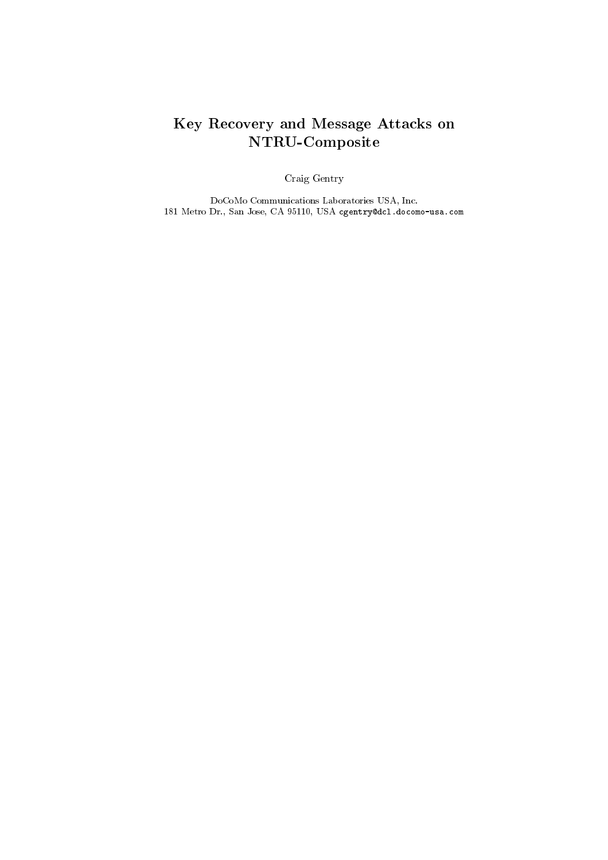## Key Recovery and Message Attacks on NTRU-Composite

Craig Gentry

DoCoMo Communications Laboratories USA, Inc. 181 Metro Dr., San Jose, CA 95110, USA cgentry@dcl.docomo-usa.com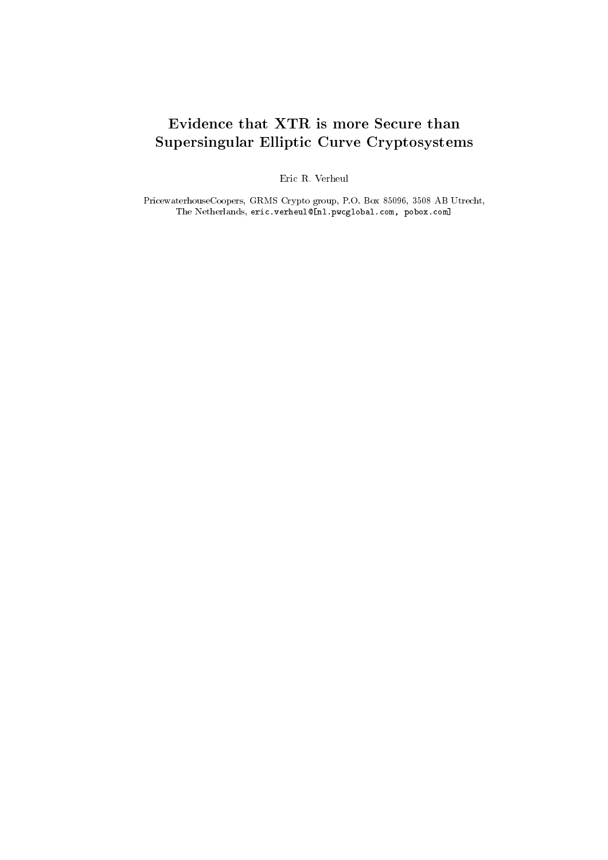#### Evidence that XTR is more Secure than Supersingular Elliptic Curve Cryptosystems

Eric R. Verheul

PricewaterhouseCoopers, GRMS Crypto group, P.O. Box 85096, 3508 AB Utrecht, The Netherlands, eric.verheul@[nl.pwcglobal.com, pobox.com]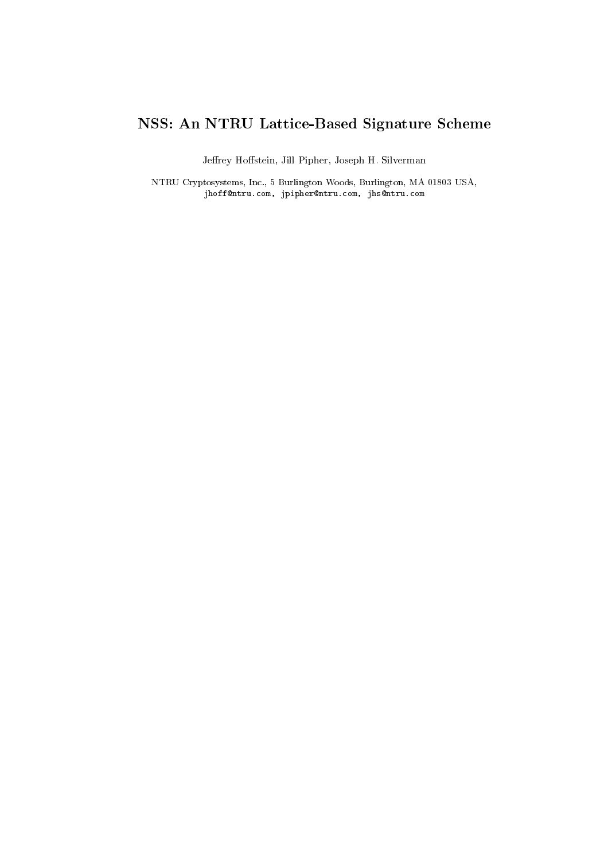# NSS: An NTRU Lattice-Based Signature Scheme

Jeffrey Hoffstein, Jill Pipher, Joseph H. Silverman

NTRU Cryptosystems, Inc., 5 Burlington Woods, Burlington, MA 01803 USA, jhoff@ntru.com, jpipher@ntru.com, jhs@ntru.com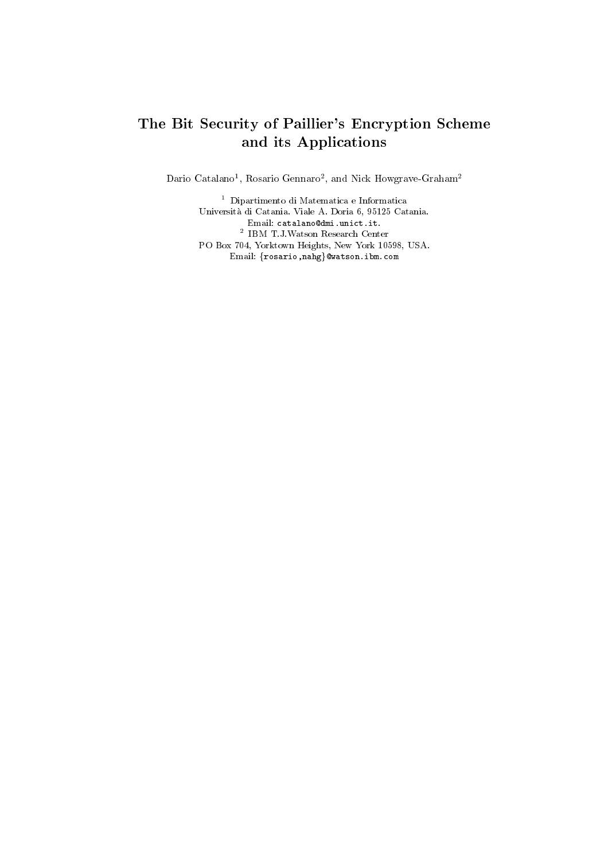#### The Bit Security of Paillier's Encryption Scheme and its Applications

Dario Catalano<sup>-</sup>, Rosario Gennaro-, and Nick Howgrave-Graham<sup>-</sup>

<sup>1</sup> Dipartimento di Matematica e Informatica Universita di Catania. Viale A. Doria 6, 95125 Catania. <sup>2</sup> IBM T.J.Watson Research Center PO Box 704, Yorktown Heights, New York 10598, USA. Email: {rosario,nahg}@watson.ibm.com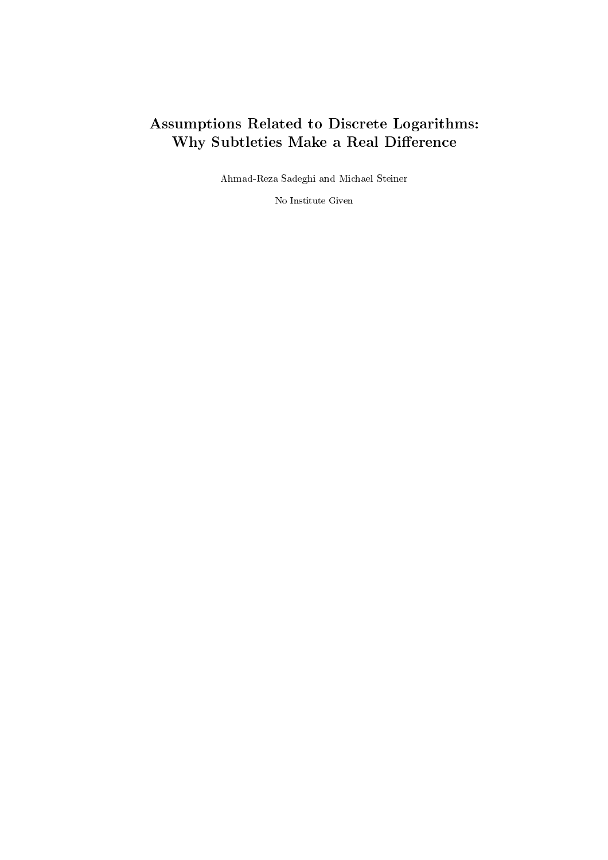### Assumptions Related to Discrete Logarithms: Why Subtleties Make a Real Difference

Ahmad-Reza Sadeghi and Michael Steiner

No Institute Given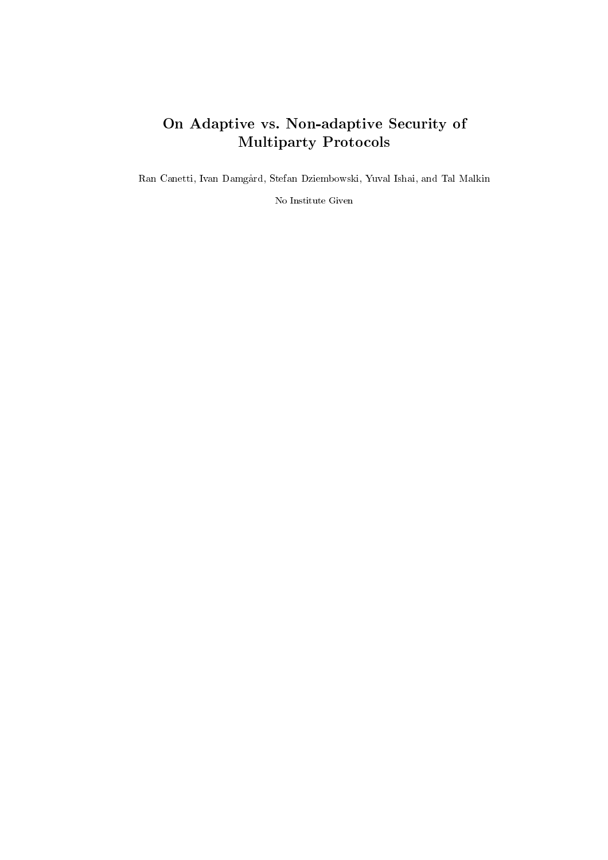## On Adaptive vs. Non-adaptive Security of Multiparty Protocols

Ran Canetti, Ivan Damgard, Stefan Dziembowski, Yuval Ishai, and Tal Malkin

No Institute Given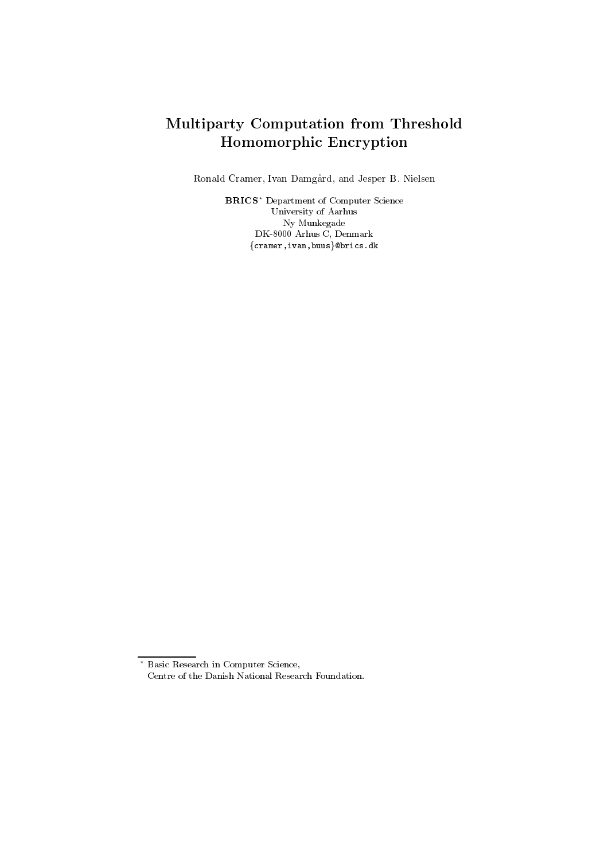### Multiparty Computation from Threshold Homomorphic Encryption

Ronald Cramer, Ivan Damgard, and Jesper B. Nielsen

BRICS? Department of Computer Science University of Aarhus Ny Munkegade DK-8000 Arhus C, Denmark  ${cramer,ivan,buus}$ @brics.dk

<sup>?</sup> Basic Research in Computer Science, Centre of the Danish National Research Foundation.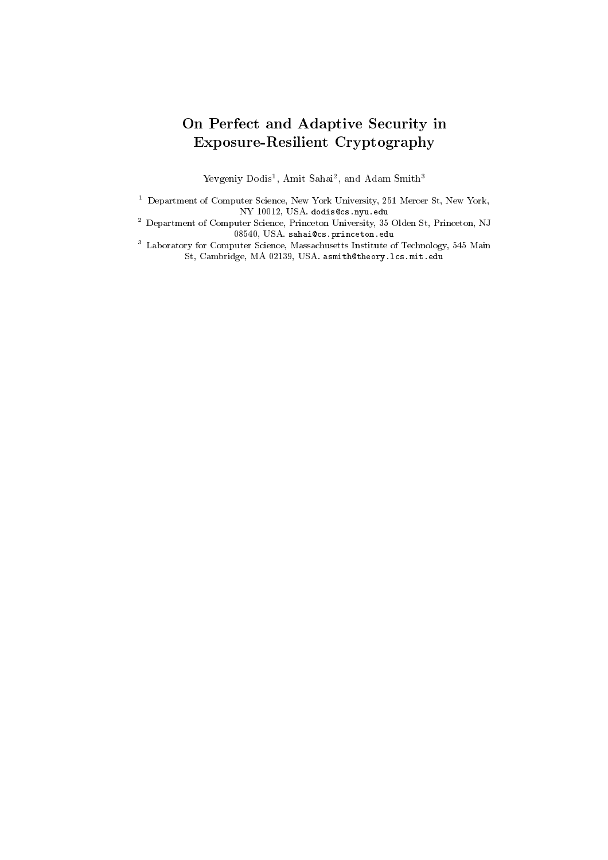### On Perfect and Adaptive Security in Exposure-Resilient Cryptography

revgeniy Dodist, Amit Sahait, and Adam Smith-

<sup>1</sup> Department of Computer Science, New York University, 251 Mercer St, New York,

<sup>2</sup> Department of Computer Science, Princeton University, 35 Olden St, Princeton, NJ 08540, USA. sahai@cs.princeton.edu

<sup>3</sup> Laboratory for Computer Science, Massachusetts Institute of Technology, 545 Main St, Cambridge, MA 02139, USA. asmith@theory.lcs.mit.edu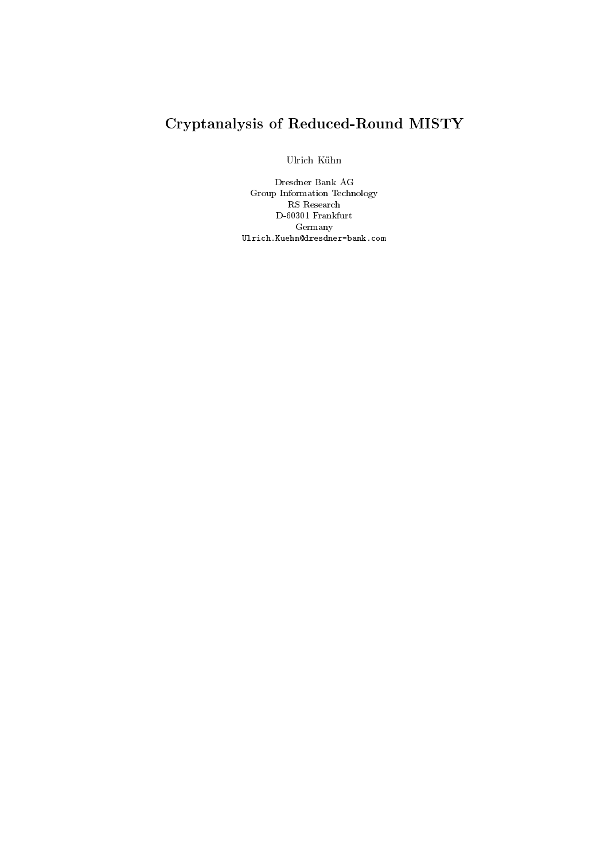# Cryptanalysis of Reduced-Round MISTY

Ulrich Kuhn

Dresdner Bank AG Group Information Technology RS Research D-60301 Frankfurt Germany Ulrich.Kuehn@dresdner-bank.com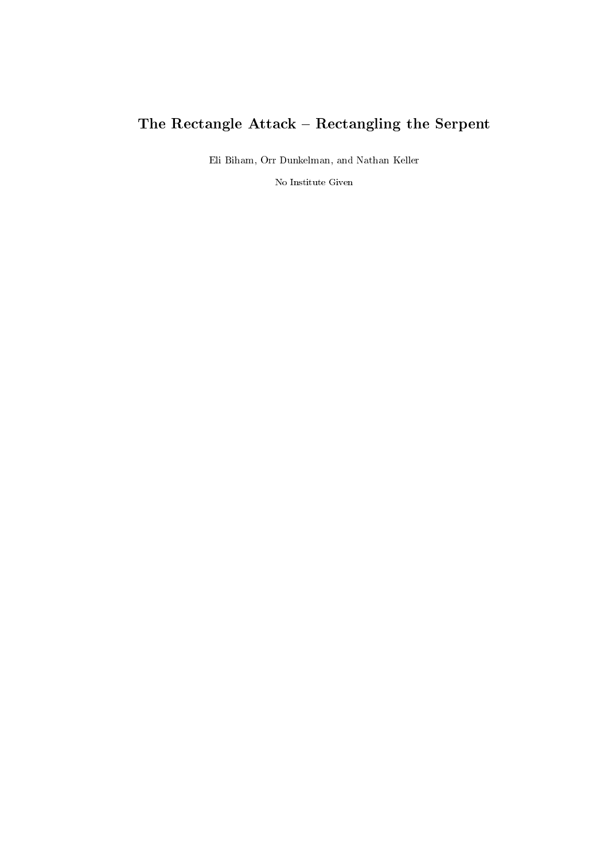# The Rectangle  $\text{Attack} - \text{Rectangular}$  the Serpent

Eli Biham, Orr Dunkelman, and Nathan Keller

No Institute Given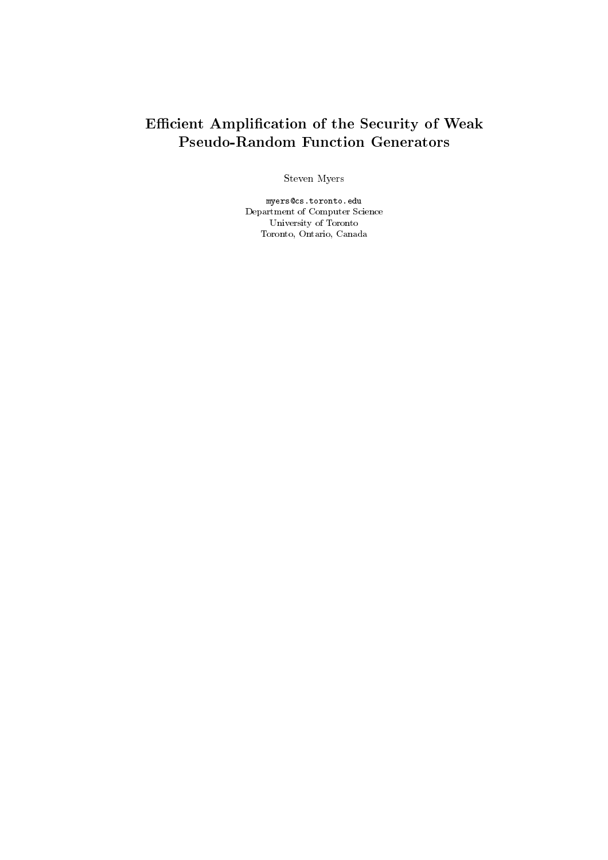### Efficient Amplification of the Security of Weak Pseudo-Random Function Generators

Steven Myers

myers@cs.toronto.eduDepartment of Computer Science University of Toronto Toronto, Ontario, Canada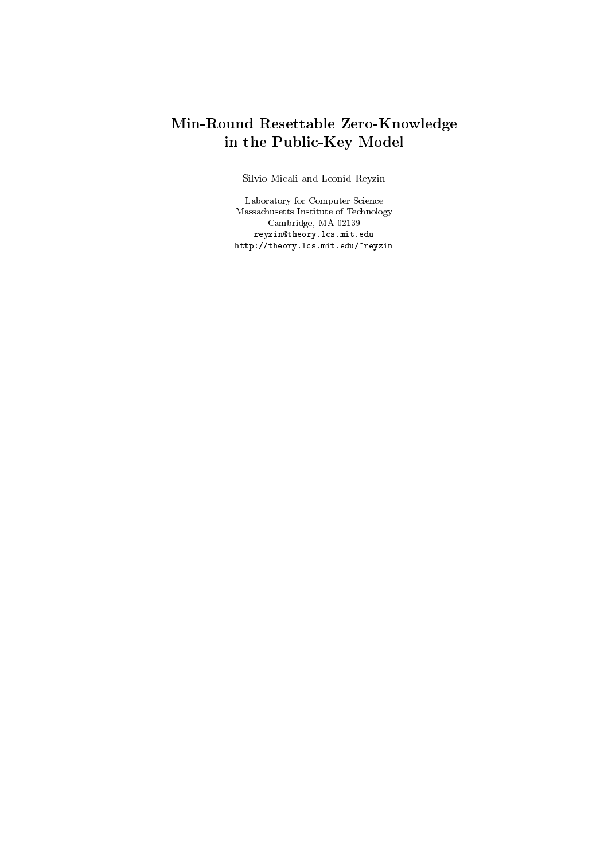### Min-Round Resettable Zero-Knowledge in the Public-Key Model

Silvio Micali and Leonid Reyzin

Laboratory for Computer Science Massachusetts Institute of Technology Cambridge, MA 02139 reyzin@theory.lcs.mit.eduhttp://theory.lcs.mit.edu/~reyzin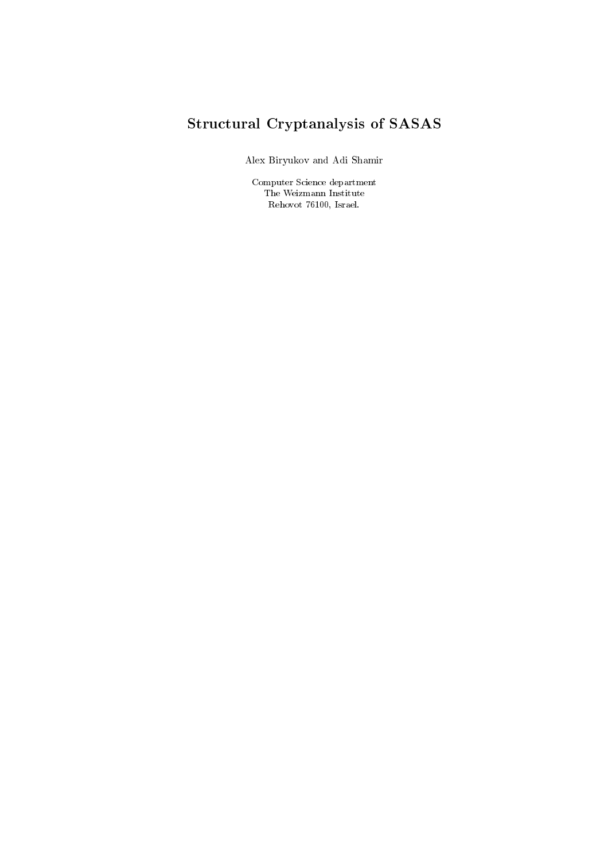# Structural Cryptanalysis of SASAS

Alex Biryukov and Adi Shamir

Computer Science department The Weizmann Institute Rehovot 76100, Israel.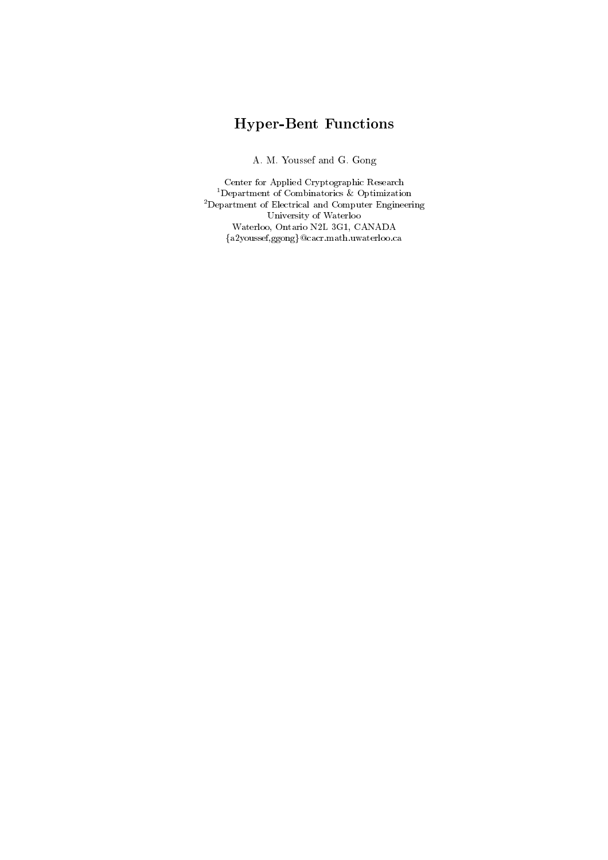# Hyper-Bent Functions

A. M. Youssef and G. Gong

Center for Applied Cryptographic Research 1Department of Combinatorics & Optimization 2Department of Electrical and Computer Engineering University of Waterloo Waterloo, Ontario N2L 3G1, CANADA  $\{a2youssef,ggong\}@cacr.math.uwaterloo.ca$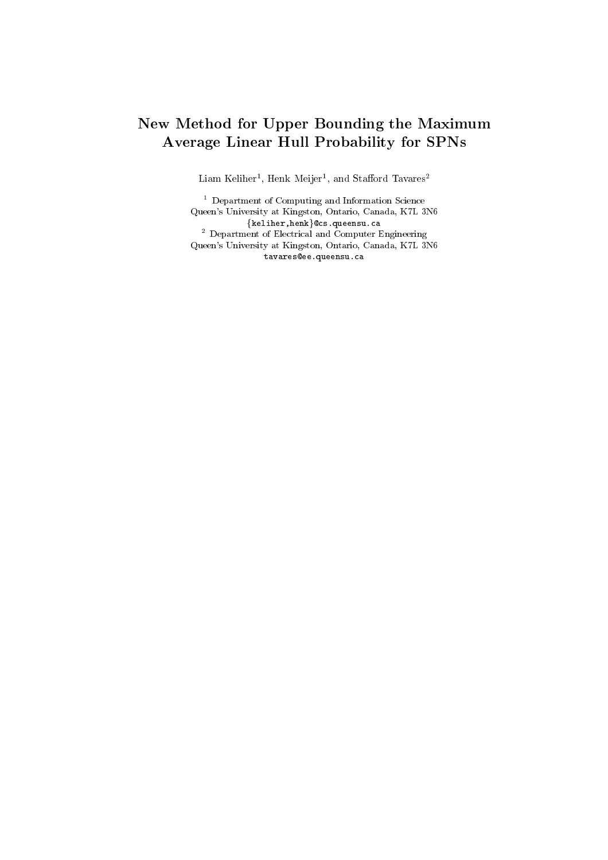#### New Method for Upper Bounding the Maximum Average Linear Hull Probability for SPNs

Liam Kenner , Henk Meijer , and Stanord Tavares –

 $\,$  - Department of Computing and Information Science  $\,$ Queen's University at Kingston, Ontario, Canada, K7L 3N6  ${k$ eliher,henk $}$ @cs.queensu.ca <sup>2</sup> Department of Electrical and Computer Engineering Queen's University at Kingston, Ontario, Canada, K7L 3N6 tavares@ee.queensu.ca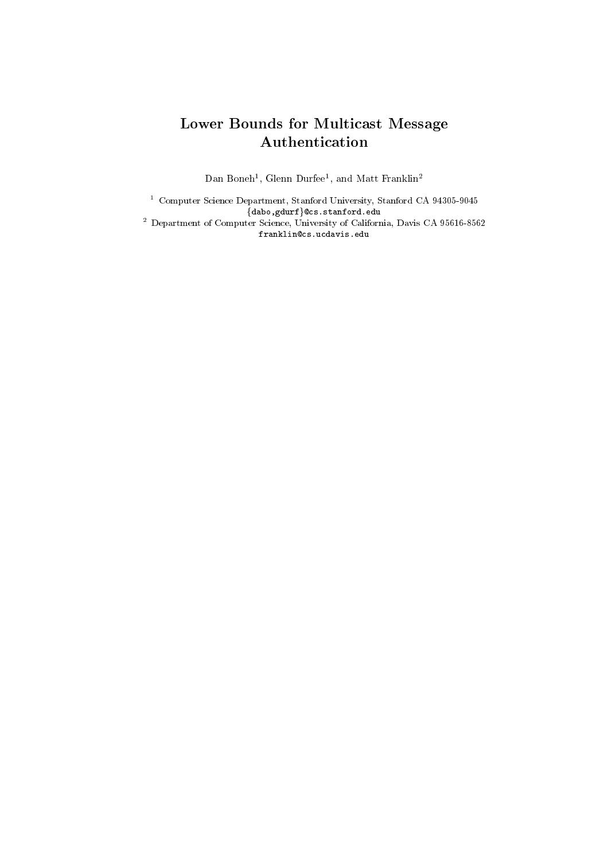## Lower Bounds for Multicast Message Authentication

Dan Bonen<sup>-</sup>, Glenn Durfee<sup>-</sup>, and Matt Franklin<sup>-</sup>

<sup>1</sup> Computer Science Department, Stanford University, Stanford CA 94305-9045 fdabo,gdurfg@cs.stanford.edu <sup>2</sup> Department of Computer Science, University of California, Davis CA 95616-8562

franklin@cs.ucdavis.edu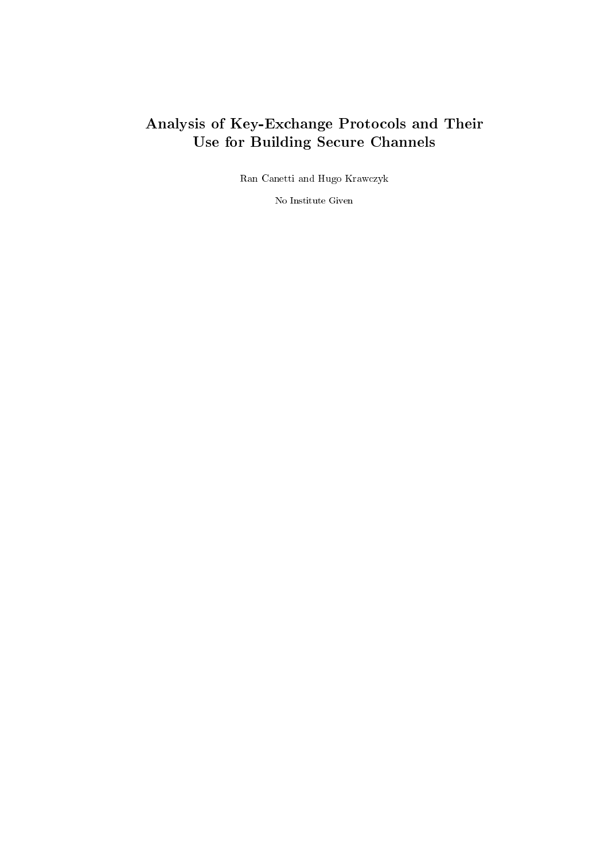## Analysis of Key-Exchange Protocols and Their Use for Building Secure Channels

Ran Canetti and Hugo Krawczyk

No Institute Given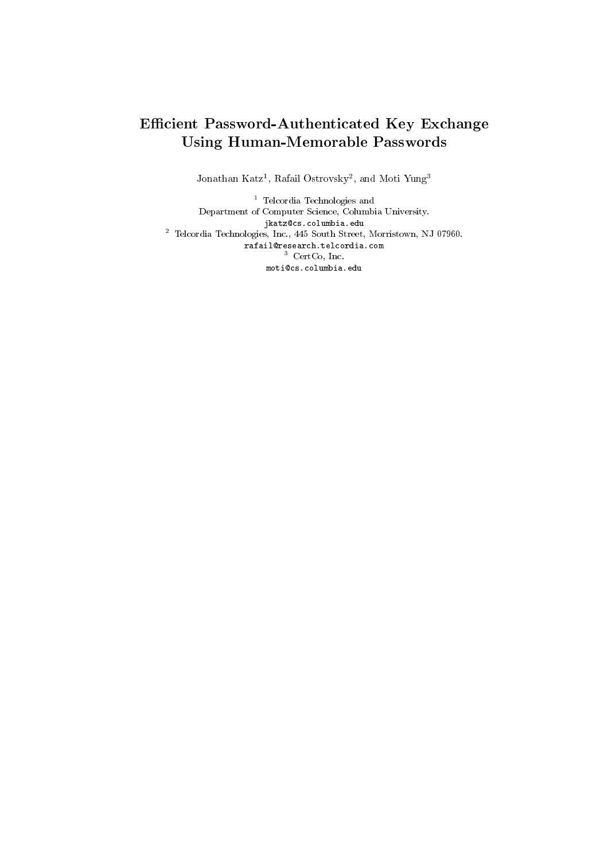#### Efficient Password-Authenticated Key Exchange Using Human-Memorable Passwords

Jonathan Katz<sup>-</sup>, Kafali Ostrovsky-, and Moti Yung-

<sup>1</sup> Telcordia Technologies and Telcordia Technologies and Department of Computer Science, Columbia University. jkatz@cs.columbia.edu <sup>2</sup> Telcordia Technologies, Inc., 445 South Street, Morristown, NJ 07960. rafail@research.telcordia.com $\sim$  CertCo, Inc. moti@cs.columbia.edu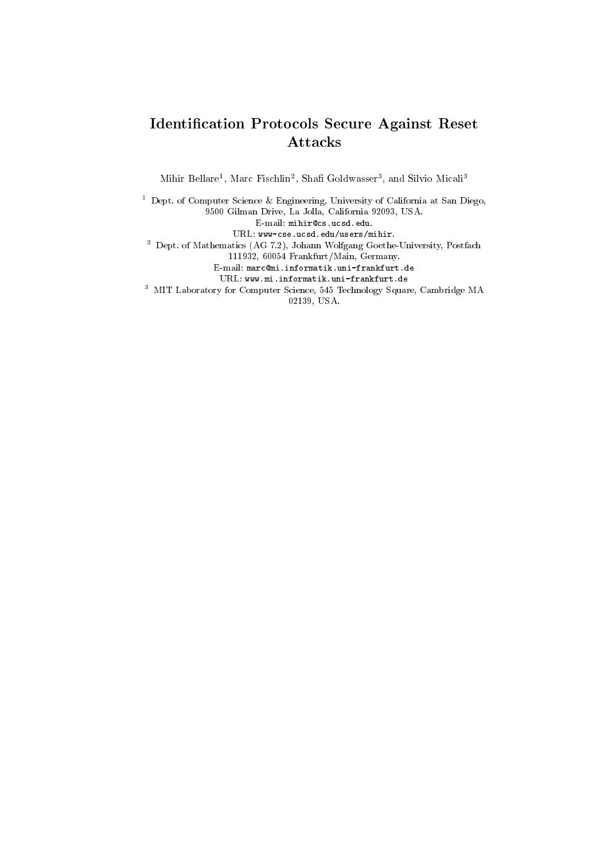#### Identication Protocols Secure Against Reset Attacks

Mihir Bellare", Marc Fischlin", Shan Goldwasser", and Silvio Micali<sup>-</sup>

<sup>1</sup> Dept. of Computer Science & Engineering, University of California at San Diego, 9500 Gilman Drive, La Jolla, California 92093, USA. E-mail: mihir@cs.ucsd.edu. URL: www-cse.ucsd.edu/users/mihir. <sup>2</sup> Dept. of Mathematics (AG 7.2), Johann Wolfgang Goethe-University, Postfach 111932, 60054 Frankfurt/Main, Germany. E-mail: marc@mi.informatik.uni-frankfurt.de URL: www.mi.informatik.uni-frankfurt.de <sup>3</sup> MIT Laboratory for Computer Science, 545 Technology Square, Cambridge MA 02139, USA.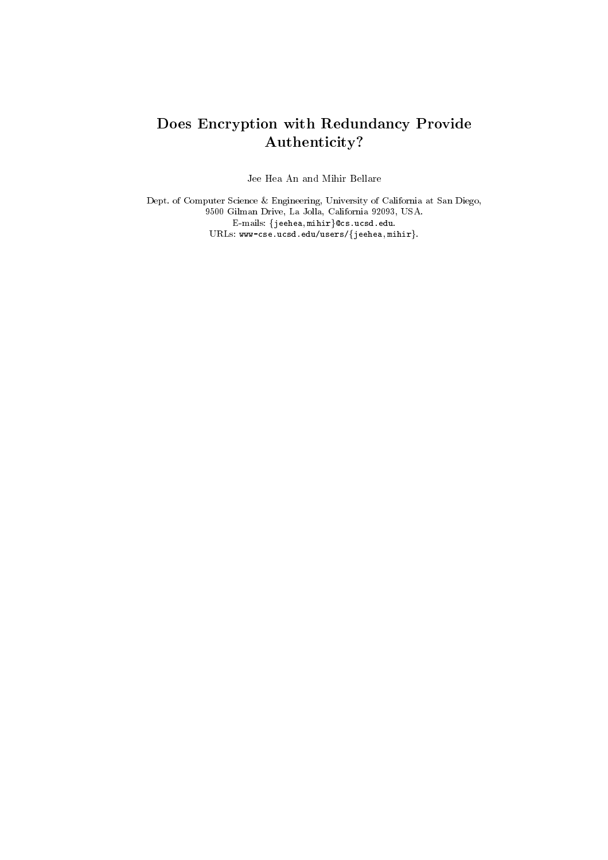#### Does Encryption with Redundancy Provide Authenticity?

Jee Hea An and Mihir Bellare

Dept. of Computer Science & Engineering, University of California at San Diego, 9500 Gilman Drive, La Jolla, California 92093, USA. E-mails:  $\{jeehea,  $minir\}$ Qcs.ucsd.edu.$ URLs:  $www-cse.ucsd.edu/users/{}$  jeehea, mihir}.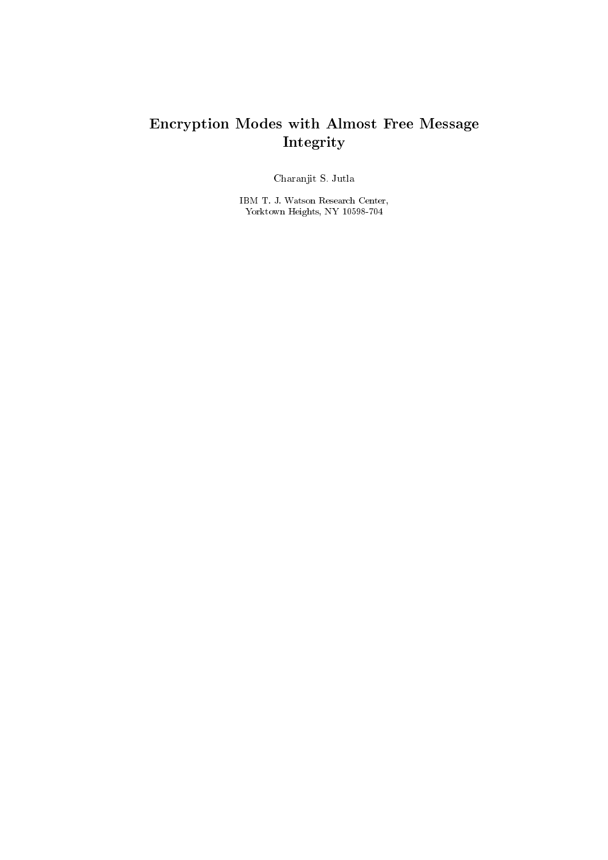## Encryption Modes with Almost Free Message Integrity

Charanjit S. Jutla

IBM T. J. Watson Research Center, Yorktown Heights, NY 10598-704